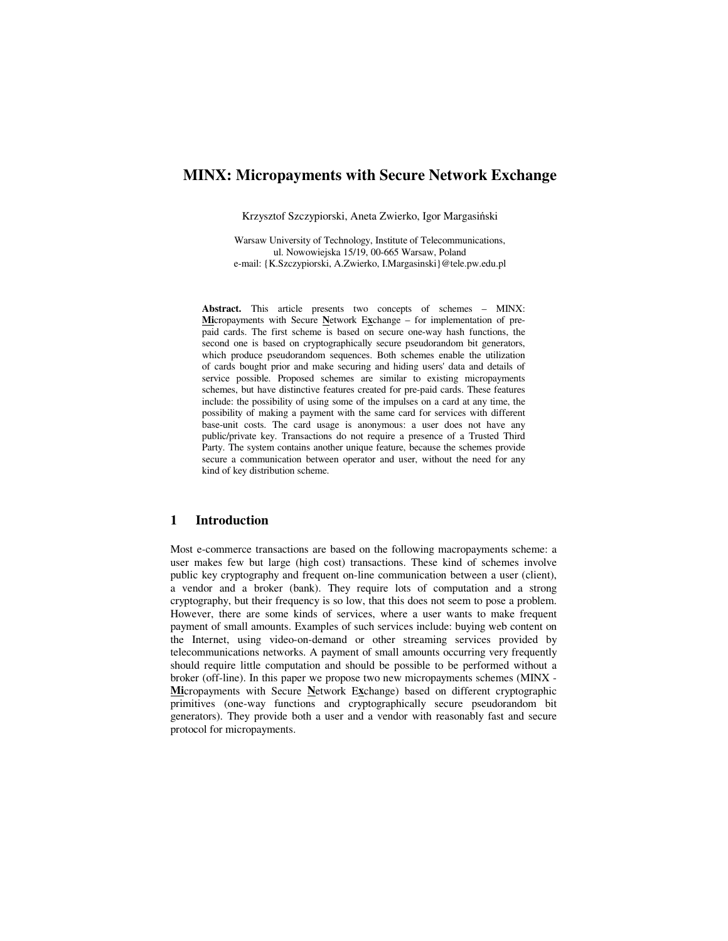# **MINX: Micropayments with Secure Network Exchange**

Krzysztof Szczypiorski, Aneta Zwierko, Igor Margasiński

Warsaw University of Technology, Institute of Telecommunications, ul. Nowowiejska 15/19, 00-665 Warsaw, Poland e-mail: {K.Szczypiorski, A.Zwierko, I.Margasinski}@tele.pw.edu.pl

**Abstract.** This article presents two concepts of schemes – MINX: **Mi**cropayments with Secure **N**etwork E**x**change – for implementation of prepaid cards. The first scheme is based on secure one-way hash functions, the second one is based on cryptographically secure pseudorandom bit generators, which produce pseudorandom sequences. Both schemes enable the utilization of cards bought prior and make securing and hiding users' data and details of service possible. Proposed schemes are similar to existing micropayments schemes, but have distinctive features created for pre-paid cards. These features include: the possibility of using some of the impulses on a card at any time, the possibility of making a payment with the same card for services with different base-unit costs. The card usage is anonymous: a user does not have any public/private key. Transactions do not require a presence of a Trusted Third Party. The system contains another unique feature, because the schemes provide secure a communication between operator and user, without the need for any kind of key distribution scheme.

### **1 Introduction**

Most e-commerce transactions are based on the following macropayments scheme: a user makes few but large (high cost) transactions. These kind of schemes involve public key cryptography and frequent on-line communication between a user (client), a vendor and a broker (bank). They require lots of computation and a strong cryptography, but their frequency is so low, that this does not seem to pose a problem. However, there are some kinds of services, where a user wants to make frequent payment of small amounts. Examples of such services include: buying web content on the Internet, using video-on-demand or other streaming services provided by telecommunications networks. A payment of small amounts occurring very frequently should require little computation and should be possible to be performed without a broker (off-line). In this paper we propose two new micropayments schemes (MINX - **Mi**cropayments with Secure **N**etwork E**x**change) based on different cryptographic primitives (one-way functions and cryptographically secure pseudorandom bit generators). They provide both a user and a vendor with reasonably fast and secure protocol for micropayments.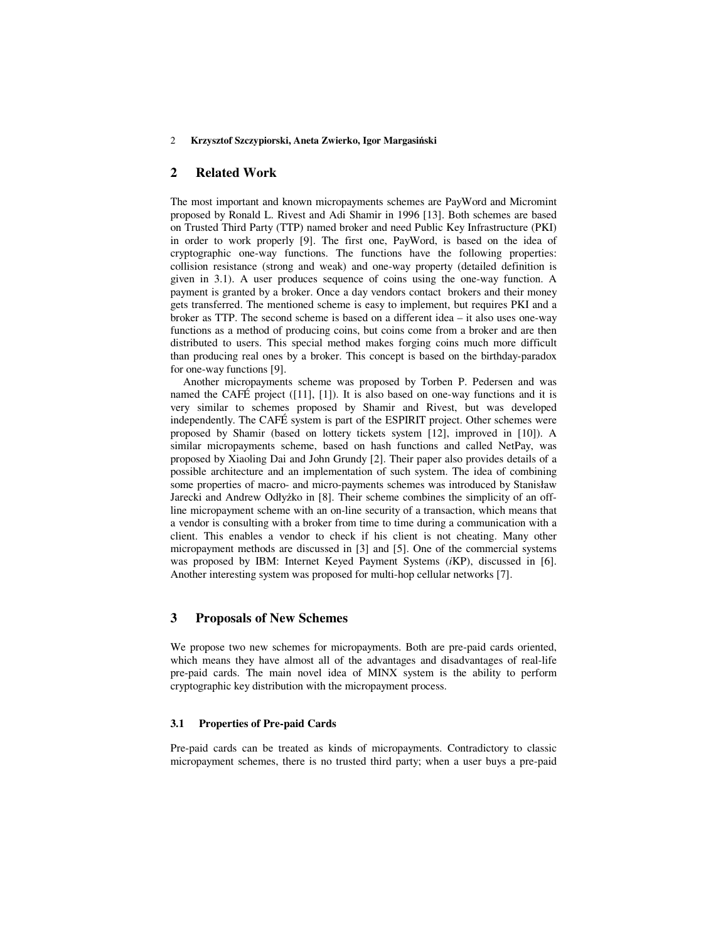# **2 Related Work**

The most important and known micropayments schemes are PayWord and Micromint proposed by Ronald L. Rivest and Adi Shamir in 1996 [13]. Both schemes are based on Trusted Third Party (TTP) named broker and need Public Key Infrastructure (PKI) in order to work properly [9]. The first one, PayWord, is based on the idea of cryptographic one-way functions. The functions have the following properties: collision resistance (strong and weak) and one-way property (detailed definition is given in 3.1). A user produces sequence of coins using the one-way function. A payment is granted by a broker. Once a day vendors contact brokers and their money gets transferred. The mentioned scheme is easy to implement, but requires PKI and a broker as TTP. The second scheme is based on a different idea – it also uses one-way functions as a method of producing coins, but coins come from a broker and are then distributed to users. This special method makes forging coins much more difficult than producing real ones by a broker. This concept is based on the birthday-paradox for one-way functions [9].

Another micropayments scheme was proposed by Torben P. Pedersen and was named the CAFÉ project  $([11], [1])$ . It is also based on one-way functions and it is very similar to schemes proposed by Shamir and Rivest, but was developed independently. The CAFÉ system is part of the ESPIRIT project. Other schemes were proposed by Shamir (based on lottery tickets system [12], improved in [10]). A similar micropayments scheme, based on hash functions and called NetPay, was proposed by Xiaoling Dai and John Grundy [2]. Their paper also provides details of a possible architecture and an implementation of such system. The idea of combining some properties of macro- and micro-payments schemes was introduced by Stanisław Jarecki and Andrew Odłyżko in [8]. Their scheme combines the simplicity of an offline micropayment scheme with an on-line security of a transaction, which means that a vendor is consulting with a broker from time to time during a communication with a client. This enables a vendor to check if his client is not cheating. Many other micropayment methods are discussed in [3] and [5]. One of the commercial systems was proposed by IBM: Internet Keyed Payment Systems (*i*KP), discussed in [6]. Another interesting system was proposed for multi-hop cellular networks [7].

### **3 Proposals of New Schemes**

We propose two new schemes for micropayments. Both are pre-paid cards oriented, which means they have almost all of the advantages and disadvantages of real-life pre-paid cards. The main novel idea of MINX system is the ability to perform cryptographic key distribution with the micropayment process.

### **3.1 Properties of Pre-paid Cards**

Pre-paid cards can be treated as kinds of micropayments. Contradictory to classic micropayment schemes, there is no trusted third party; when a user buys a pre-paid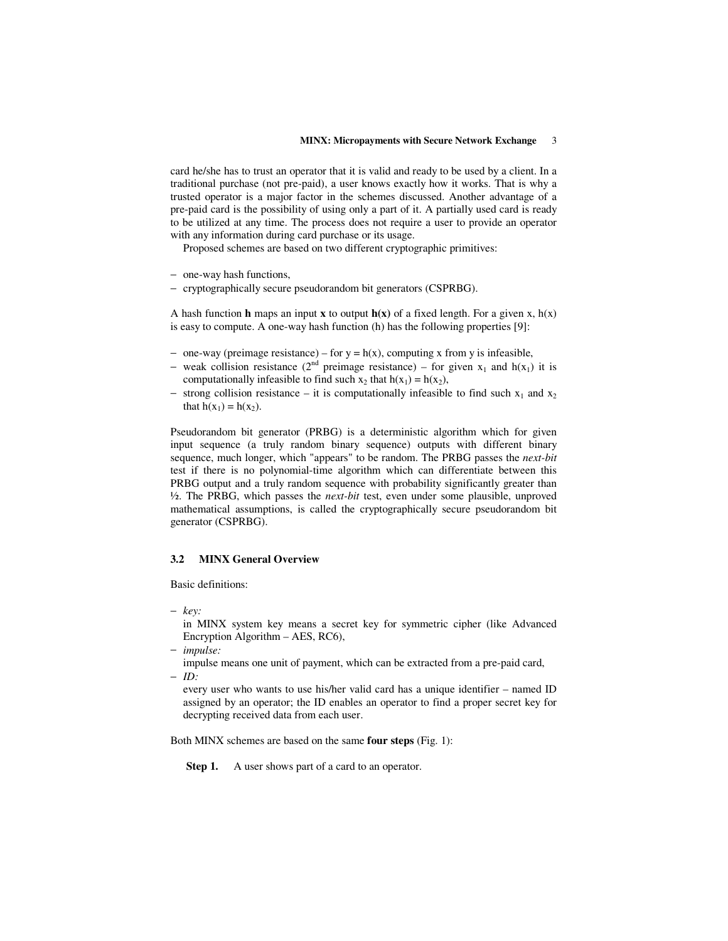#### **MINX: Micropayments with Secure Network Exchange** 3

card he/she has to trust an operator that it is valid and ready to be used by a client. In a traditional purchase (not pre-paid), a user knows exactly how it works. That is why a trusted operator is a major factor in the schemes discussed. Another advantage of a pre-paid card is the possibility of using only a part of it. A partially used card is ready to be utilized at any time. The process does not require a user to provide an operator with any information during card purchase or its usage.

Proposed schemes are based on two different cryptographic primitives:

- − one-way hash functions,
- − cryptographically secure pseudorandom bit generators (CSPRBG).

A hash function **h** maps an input **x** to output  $h(x)$  of a fixed length. For a given x,  $h(x)$ is easy to compute. A one-way hash function (h) has the following properties [9]:

- $-$  one-way (preimage resistance) for y = h(x), computing x from y is infeasible,
- weak collision resistance ( $2^{nd}$  preimage resistance) for given  $x_1$  and  $h(x_1)$  it is computationally infeasible to find such  $x_2$  that  $h(x_1) = h(x_2)$ ,
- $-$  strong collision resistance it is computationally infeasible to find such  $x_1$  and  $x_2$ that  $h(x_1) = h(x_2)$ .

Pseudorandom bit generator (PRBG) is a deterministic algorithm which for given input sequence (a truly random binary sequence) outputs with different binary sequence, much longer, which "appears" to be random. The PRBG passes the *next-bit* test if there is no polynomial-time algorithm which can differentiate between this PRBG output and a truly random sequence with probability significantly greater than ½. The PRBG, which passes the *next-bit* test, even under some plausible, unproved mathematical assumptions, is called the cryptographically secure pseudorandom bit generator (CSPRBG).

### **3.2 MINX General Overview**

Basic definitions:

− *key:*

in MINX system key means a secret key for symmetric cipher (like Advanced Encryption Algorithm – AES, RC6),

− *impulse:*

impulse means one unit of payment, which can be extracted from a pre-paid card, − *ID:*

every user who wants to use his/her valid card has a unique identifier – named ID assigned by an operator; the ID enables an operator to find a proper secret key for decrypting received data from each user.

Both MINX schemes are based on the same **four steps** (Fig. 1):

**Step 1.** A user shows part of a card to an operator.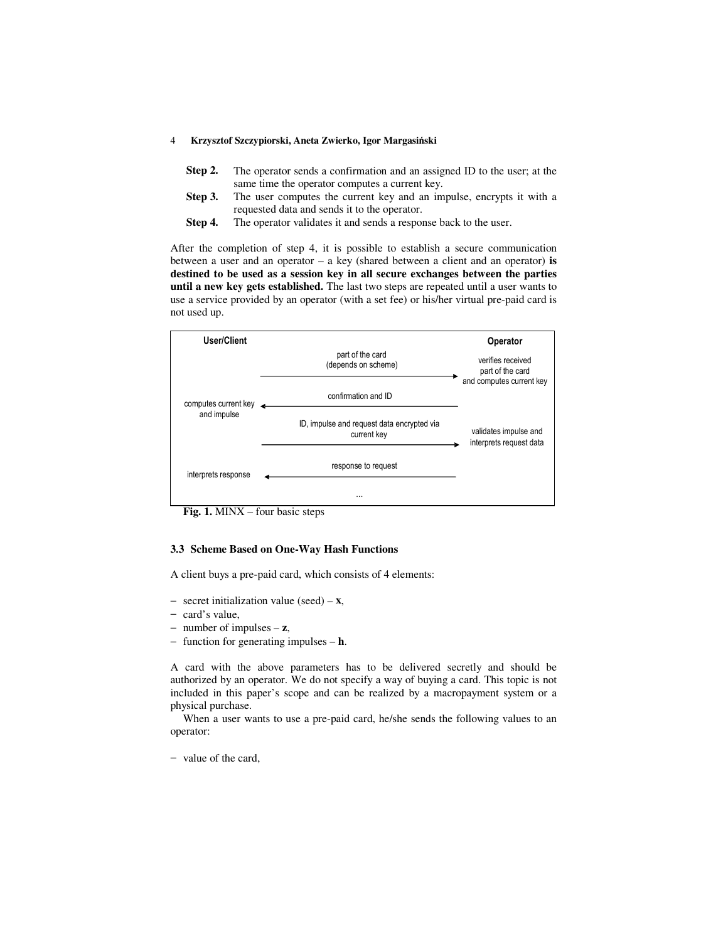- **Step 2.** The operator sends a confirmation and an assigned ID to the user; at the same time the operator computes a current key.
- **Step 3.** The user computes the current key and an impulse, encrypts it with a requested data and sends it to the operator.
- **Step 4.** The operator validates it and sends a response back to the user.

After the completion of step 4, it is possible to establish a secure communication between a user and an operator – a key (shared between a client and an operator) **is destined to be used as a session key in all secure exchanges between the parties until a new key gets established.** The last two steps are repeated until a user wants to use a service provided by an operator (with a set fee) or his/her virtual pre-paid card is not used up.



**Fig. 1.** MINX – four basic steps

### **3.3 Scheme Based on One-Way Hash Functions**

A client buys a pre-paid card, which consists of 4 elements:

- − secret initialization value (seed) **x**,
- − card's value,
- − number of impulses **z**,
- − function for generating impulses **h**.

A card with the above parameters has to be delivered secretly and should be authorized by an operator. We do not specify a way of buying a card. This topic is not included in this paper's scope and can be realized by a macropayment system or a physical purchase.

When a user wants to use a pre-paid card, he/she sends the following values to an operator:

− value of the card,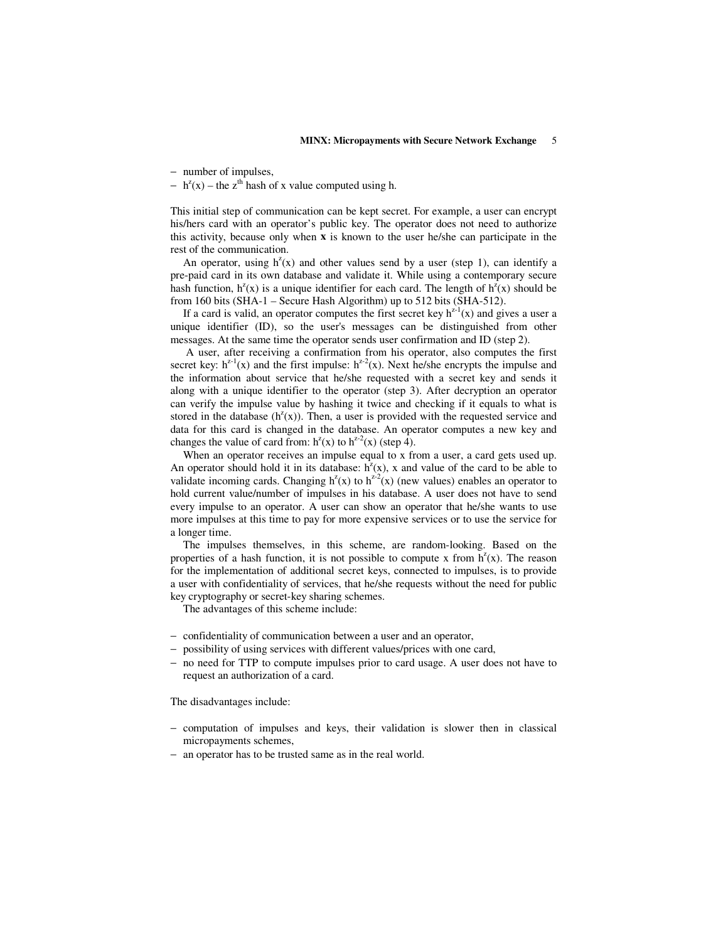− number of impulses,

 $- h<sup>z</sup>(x) -$  the z<sup>th</sup> hash of x value computed using h.

This initial step of communication can be kept secret. For example, a user can encrypt his/hers card with an operator's public key. The operator does not need to authorize this activity, because only when **x** is known to the user he/she can participate in the rest of the communication.

An operator, using  $h^2(x)$  and other values send by a user (step 1), can identify a pre-paid card in its own database and validate it. While using a contemporary secure hash function,  $h^{z}(x)$  is a unique identifier for each card. The length of  $h^{z}(x)$  should be from 160 bits (SHA-1 – Secure Hash Algorithm) up to 512 bits (SHA-512).

If a card is valid, an operator computes the first secret key  $h^{z-1}(x)$  and gives a user a unique identifier (ID), so the user's messages can be distinguished from other messages. At the same time the operator sends user confirmation and ID (step 2).

A user, after receiving a confirmation from his operator, also computes the first secret key:  $h^{z-1}(x)$  and the first impulse:  $h^{z-2}(x)$ . Next he/she encrypts the impulse and the information about service that he/she requested with a secret key and sends it along with a unique identifier to the operator (step 3). After decryption an operator can verify the impulse value by hashing it twice and checking if it equals to what is stored in the database  $(h^2(x))$ . Then, a user is provided with the requested service and data for this card is changed in the database. An operator computes a new key and changes the value of card from:  $h^{z}(x)$  to  $h^{z-2}(x)$  (step 4).

When an operator receives an impulse equal to x from a user, a card gets used up. An operator should hold it in its database:  $h^2(x)$ , x and value of the card to be able to validate incoming cards. Changing  $h^{z}(x)$  to  $h^{z-2}(x)$  (new values) enables an operator to hold current value/number of impulses in his database. A user does not have to send every impulse to an operator. A user can show an operator that he/she wants to use more impulses at this time to pay for more expensive services or to use the service for a longer time.

The impulses themselves, in this scheme, are random-looking. Based on the properties of a hash function, it is not possible to compute x from  $h^{2}(x)$ . The reason for the implementation of additional secret keys, connected to impulses, is to provide a user with confidentiality of services, that he/she requests without the need for public key cryptography or secret-key sharing schemes.

The advantages of this scheme include:

- − confidentiality of communication between a user and an operator,
- − possibility of using services with different values/prices with one card,
- − no need for TTP to compute impulses prior to card usage. A user does not have to request an authorization of a card.

The disadvantages include:

- − computation of impulses and keys, their validation is slower then in classical micropayments schemes,
- − an operator has to be trusted same as in the real world.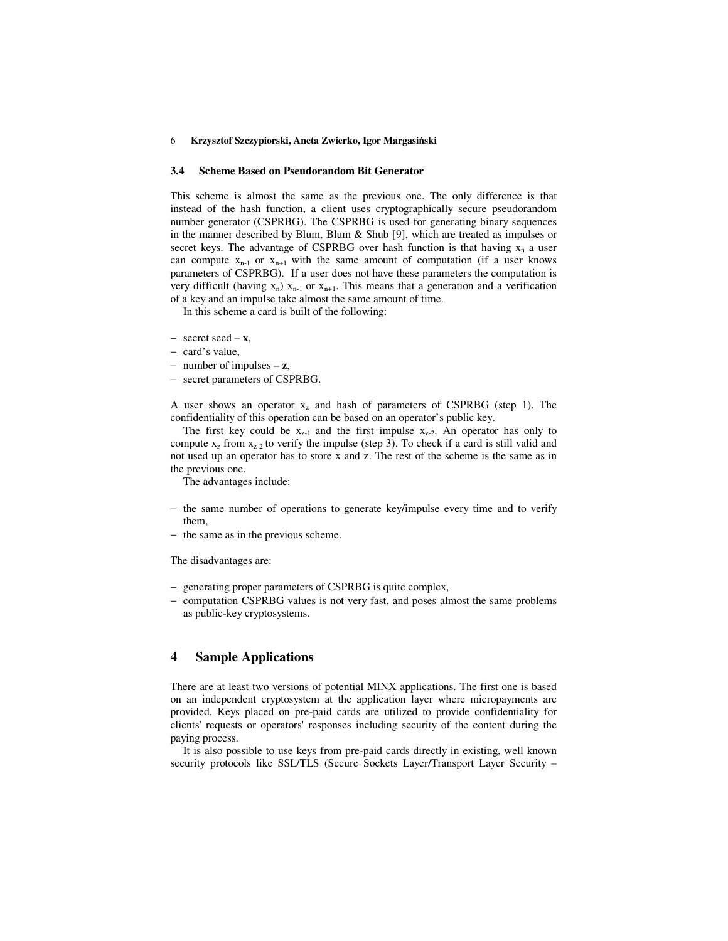### **3.4 Scheme Based on Pseudorandom Bit Generator**

This scheme is almost the same as the previous one. The only difference is that instead of the hash function, a client uses cryptographically secure pseudorandom number generator (CSPRBG). The CSPRBG is used for generating binary sequences in the manner described by Blum, Blum & Shub [9], which are treated as impulses or secret keys. The advantage of CSPRBG over hash function is that having  $x_n$  a user can compute  $x_{n-1}$  or  $x_{n+1}$  with the same amount of computation (if a user knows parameters of CSPRBG). If a user does not have these parameters the computation is very difficult (having  $x_n$ )  $x_{n+1}$  or  $x_{n+1}$ . This means that a generation and a verification of a key and an impulse take almost the same amount of time.

In this scheme a card is built of the following:

- secret seed **x**,
- − card's value,
- − number of impulses **z**,
- − secret parameters of CSPRBG.

A user shows an operator  $x<sub>z</sub>$  and hash of parameters of CSPRBG (step 1). The confidentiality of this operation can be based on an operator's public key.

The first key could be  $x_{z-1}$  and the first impulse  $x_{z-2}$ . An operator has only to compute  $x_2$  from  $x_{2-2}$  to verify the impulse (step 3). To check if a card is still valid and not used up an operator has to store x and z. The rest of the scheme is the same as in the previous one.

The advantages include:

- − the same number of operations to generate key/impulse every time and to verify them,
- − the same as in the previous scheme.

The disadvantages are:

- − generating proper parameters of CSPRBG is quite complex,
- − computation CSPRBG values is not very fast, and poses almost the same problems as public-key cryptosystems.

# **4 Sample Applications**

There are at least two versions of potential MINX applications. The first one is based on an independent cryptosystem at the application layer where micropayments are provided. Keys placed on pre-paid cards are utilized to provide confidentiality for clients' requests or operators' responses including security of the content during the paying process.

It is also possible to use keys from pre-paid cards directly in existing, well known security protocols like SSL/TLS (Secure Sockets Layer/Transport Layer Security –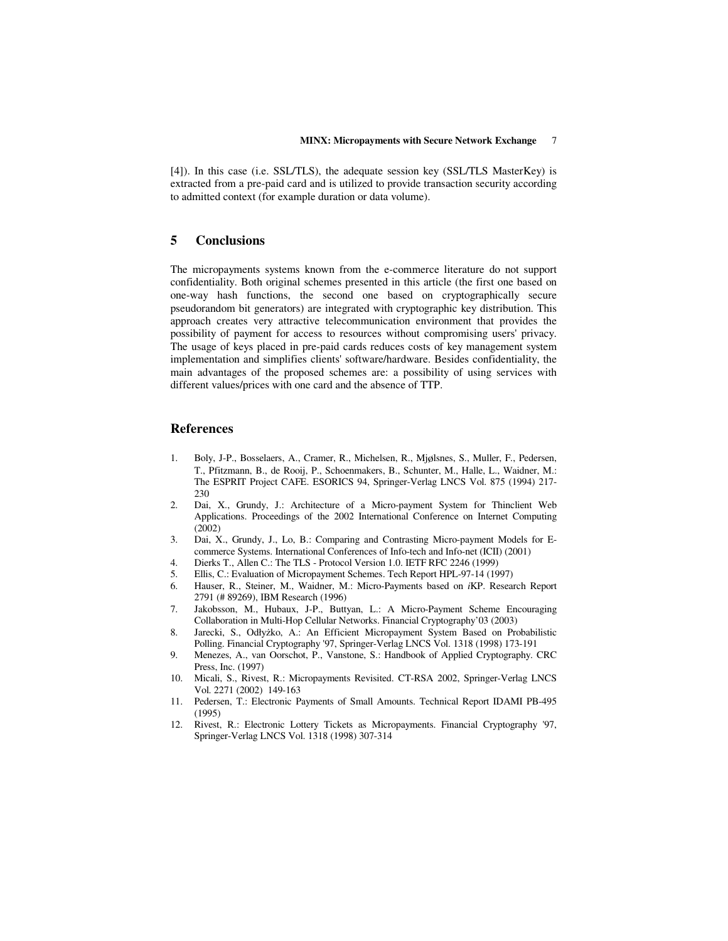[4]). In this case (i.e. SSL/TLS), the adequate session key (SSL/TLS MasterKey) is extracted from a pre-paid card and is utilized to provide transaction security according to admitted context (for example duration or data volume).

## **5 Conclusions**

The micropayments systems known from the e-commerce literature do not support confidentiality. Both original schemes presented in this article (the first one based on one-way hash functions, the second one based on cryptographically secure pseudorandom bit generators) are integrated with cryptographic key distribution. This approach creates very attractive telecommunication environment that provides the possibility of payment for access to resources without compromising users' privacy. The usage of keys placed in pre-paid cards reduces costs of key management system implementation and simplifies clients' software/hardware. Besides confidentiality, the main advantages of the proposed schemes are: a possibility of using services with different values/prices with one card and the absence of TTP.

### **References**

- 1. Boly, J-P., Bosselaers, A., Cramer, R., Michelsen, R., Mjølsnes, S., Muller, F., Pedersen, T., Pfitzmann, B., de Rooij, P., Schoenmakers, B., Schunter, M., Halle, L., Waidner, M.: The ESPRIT Project CAFE. ESORICS 94, Springer-Verlag LNCS Vol. 875 (1994) 217- 230
- 2. Dai, X., Grundy, J.: Architecture of a Micro-payment System for Thinclient Web Applications. Proceedings of the 2002 International Conference on Internet Computing  $(2002)$
- 3. Dai, X., Grundy, J., Lo, B.: Comparing and Contrasting Micro-payment Models for Ecommerce Systems. International Conferences of Info-tech and Info-net (ICII) (2001)
- 4. Dierks T., Allen C.: The TLS Protocol Version 1.0. IETF RFC 2246 (1999)
- 5. Ellis, C.: Evaluation of Micropayment Schemes. Tech Report HPL-97-14 (1997)
- 6. Hauser, R., Steiner, M., Waidner, M.: Micro-Payments based on *i*KP. Research Report 2791 (# 89269), IBM Research (1996)
- 7. Jakobsson, M., Hubaux, J-P., Buttyan, L.: A Micro-Payment Scheme Encouraging Collaboration in Multi-Hop Cellular Networks. Financial Cryptography'03 (2003)
- 8. Jarecki, S., Odłyżko, A.: An Efficient Micropayment System Based on Probabilistic Polling. Financial Cryptography '97, Springer-Verlag LNCS Vol. 1318 (1998) 173-191
- 9. Menezes, A., van Oorschot, P., Vanstone, S.: Handbook of Applied Cryptography. CRC Press, Inc. (1997)
- 10. Micali, S., Rivest, R.: Micropayments Revisited. CT-RSA 2002, Springer-Verlag LNCS Vol. 2271 (2002) 149-163
- 11. Pedersen, T.: Electronic Payments of Small Amounts. Technical Report IDAMI PB-495 (1995)
- 12. Rivest, R.: Electronic Lottery Tickets as Micropayments. Financial Cryptography '97, Springer-Verlag LNCS Vol. 1318 (1998) 307-314